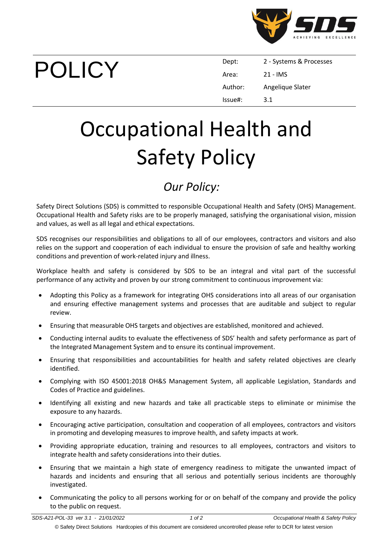

POLICY

| Dept:   | 2 - Systems & Processes |
|---------|-------------------------|
| Area:   | 21 - IMS                |
| Author: | Angelique Slater        |
| Issue#: | 3.1                     |

## Occupational Health and Safety Policy

## *Our Policy:*

Safety Direct Solutions (SDS) is committed to responsible Occupational Health and Safety (OHS) Management. Occupational Health and Safety risks are to be properly managed, satisfying the organisational vision, mission and values, as well as all legal and ethical expectations.

SDS recognises our responsibilities and obligations to all of our employees, contractors and visitors and also relies on the support and cooperation of each individual to ensure the provision of safe and healthy working conditions and prevention of work-related injury and illness.

Workplace health and safety is considered by SDS to be an integral and vital part of the successful performance of any activity and proven by our strong commitment to continuous improvement via:

- Adopting this Policy as a framework for integrating OHS considerations into all areas of our organisation and ensuring effective management systems and processes that are auditable and subject to regular review.
- Ensuring that measurable OHS targets and objectives are established, monitored and achieved.
- Conducting internal audits to evaluate the effectiveness of SDS' health and safety performance as part of the Integrated Management System and to ensure its continual improvement.
- Ensuring that responsibilities and accountabilities for health and safety related objectives are clearly identified.
- Complying with ISO 45001:2018 OH&S Management System, all applicable Legislation, Standards and Codes of Practice and guidelines.
- Identifying all existing and new hazards and take all practicable steps to eliminate or minimise the exposure to any hazards.
- Encouraging active participation, consultation and cooperation of all employees, contractors and visitors in promoting and developing measures to improve health, and safety impacts at work.
- Providing appropriate education, training and resources to all employees, contractors and visitors to integrate health and safety considerations into their duties.
- Ensuring that we maintain a high state of emergency readiness to mitigate the unwanted impact of hazards and incidents and ensuring that all serious and potentially serious incidents are thoroughly investigated.
- Communicating the policy to all persons working for or on behalf of the company and provide the policy to the public on request.